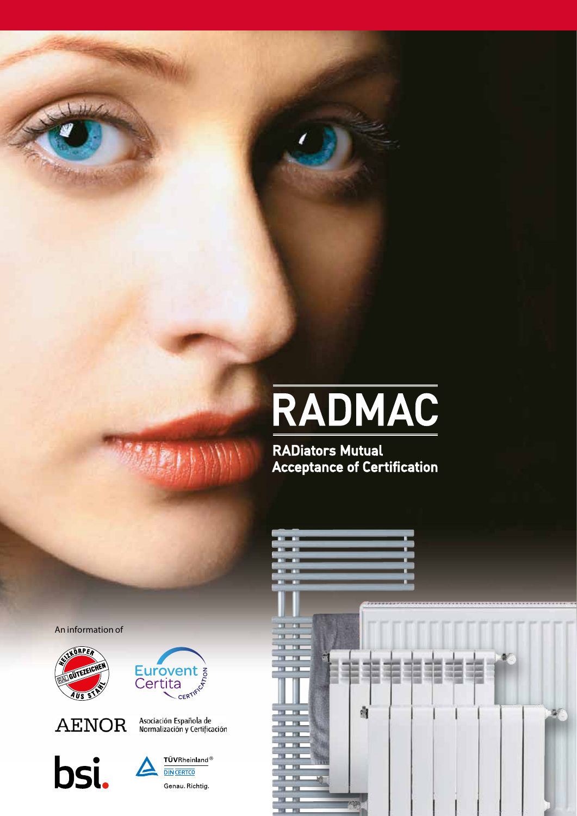# RADMAC

**RADiators Mutual Acceptance of Certification** 

鹵

**REA** 

An information of



**AENOR** 



Asociación Española de<br>Normalización y Certificación



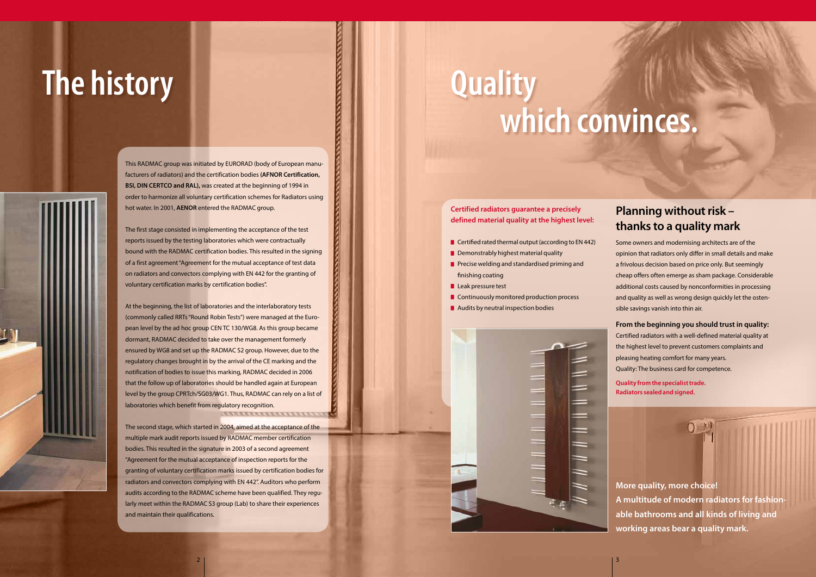### **The history**

**Certified radiators guarantee a precisely defined material quality at the highest level:**

- Certified rated thermal output (according to EN 442)
- Demonstrably highest material quality
- **Precise welding and standardised priming and** finishing coating
- **Leak pressure test**
- **Continuously monitored production process**
- **Audits by neutral inspection bodies**



Some owners and modernising architects are of the opinion that radiators only differ in small details and make a frivolous decision based on price only. But seemingly cheap offers often emerge as sham package. Considerable additional costs caused by nonconformities in processing and quality as well as wrong design quickly let the ostensible savings vanish into thin air.

**From the beginning you should trust in quality:**  Certified radiators with a well-defined material quality at the highest level to prevent customers complaints and pleasing heating comfort for many years. Quality: The business card for competence.

**Quality from the specialist trade. Radiators sealed and signed.**

### **Planning without risk – thanks to a quality mark**

## **Quality which convinces.**

**More quality, more choice! A multitude of modern radiators for fashionable bathrooms and all kinds of living and working areas bear a quality mark.**

This RADMAC group was initiated by EURORAD (body of European manufacturers of radiators) and the certification bodies **(AFNOR Certification, BSI, DIN CERTCO and RAL),** was created at the beginning of 1994 in order to harmonize all voluntary certification schemes for Radiators using hot water. In 2001, **AENOR** entered the RADMAC group.

The first stage consisted in implementing the acceptance of the test reports issued by the testing laboratories which were contractually bound with the RADMAC certification bodies. This resulted in the signing of a first agreement "Agreement for the mutual acceptance of test data on radiators and convectors complying with EN 442 for the granting of voluntary certification marks by certification bodies".

At the beginning, the list of laboratories and the interlaboratory tests (commonly called RRTs "Round Robin Tests") were managed at the European level by the ad hoc group CEN TC 130/WG8. As this group became dormant, RADMAC decided to take over the management formerly ensured by WG8 and set up the RADMAC S2 group. However, due to the regulatory changes brought in by the arrival of the CE marking and the notification of bodies to issue this marking, RADMAC decided in 2006 that the follow up of laboratories should be handled again at European level by the group CPRTch/SG03/WG1. Thus, RADMAC can rely on a list of laboratories which benefit from regulatory recognition.

**CERRETAKEERING** 

The second stage, which started in 2004, aimed at the acceptance of the multiple mark audit reports issued by RADMAC member certification bodies. This resulted in the signature in 2003 of a second agreement "Agreement for the mutual acceptance of inspection reports for the granting of voluntary certification marks issued by certification bodies for radiators and convectors complying with EN 442". Auditors who perform audits according to the RADMAC scheme have been qualified. They regularly meet within the RADMAC S3 group (Lab) to share their experiences and maintain their qualifications.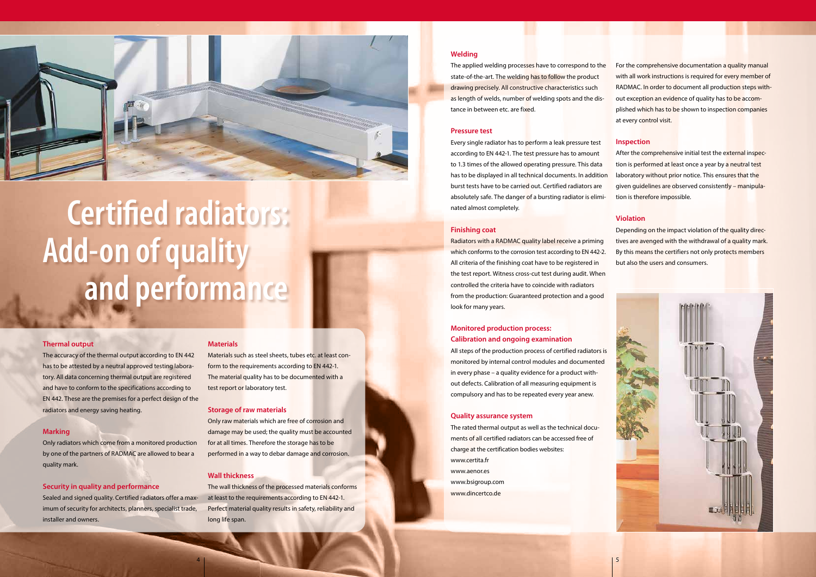

### **Certified radiators: Add-on of quality and performance**

### **Inspection**

### **Violation**

Depending on the impact violation of the quality directives are avenged with the withdrawal of a quality mark. By this means the certifiers not only protects members but also the users and consumers.



### **Materials**

Materials such as steel sheets, tubes etc. at least conform to the requirements according to EN 442-1. The material quality has to be documented with a test report or laboratory test.

### **Storage of raw materials**

Only raw materials which are free of corrosion and damage may be used; the quality must be accounted for at all times. Therefore the storage has to be performed in a way to debar damage and corrosion.

For the comprehensive documentation a quality manual with all work instructions is required for every member of RADMAC. In order to document all production steps without exception an evidence of quality has to be accomplished which has to be shown to inspection companies at every control visit. The applied welding processes have to correspond to the state-of-the-art. The welding has to follow the product drawing precisely. All constructive characteristics such as length of welds, number of welding spots and the distance in between etc. are fixed.

### **Wall thickness**

The wall thickness of the processed materials conforms at least to the requirements according to EN 442-1. Perfect material quality results in safety, reliability and long life span.

### **Thermal output**

After the comprehensive initial test the external inspection is performed at least once a year by a neutral test laboratory without prior notice. This ensures that the given guidelines are observed consistently – manipulation is therefore impossible. Every single radiator has to perform a leak pressure test according to EN 442-1. The test pressure has to amount to 1.3 times of the allowed operating pressure. This data has to be displayed in all technical documents. In addition burst tests have to be carried out. Certified radiators are absolutely safe. The danger of a bursting radiator is eliminated almost completely.

The accuracy of the thermal output according to EN 442 has to be attested by a neutral approved testing laboratory. All data concerning thermal output are registered and have to conform to the specifications according to EN 442. These are the premises for a perfect design of the radiators and energy saving heating.

### **Marking**

Only radiators which come from a monitored production by one of the partners of RADMAC are allowed to bear a quality mark.

### **Security in quality and performance**

Sealed and signed quality. Certified radiators offer a maximum of security for architects, planners, specialist trade, installer and owners.

### **Welding**

### **Pressure test**

### **Finishing coat**

Radiators with a RADMAC quality label receive a priming which conforms to the corrosion test according to EN 442-2. All criteria of the finishing coat have to be registered in the test report. Witness cross-cut test during audit. When controlled the criteria have to coincide with radiators from the production: Guaranteed protection and a good look for many years.

### **Monitored production process: Calibration and ongoing examination**

All steps of the production process of certified radiators is monitored by internal control modules and documented in every phase – a quality evidence for a product without defects. Calibration of all measuring equipment is compulsory and has to be repeated every year anew.

### **Quality assurance system**

 $\overline{a}$  566  $\overline{b}$  566  $\overline{b}$  566  $\overline{b}$  566  $\overline{b}$  566  $\overline{b}$  566  $\overline{b}$  566  $\overline{b}$  566  $\overline{b}$  566  $\overline{b}$  566  $\overline{b}$  566  $\overline{b}$  566  $\overline{b}$  566  $\overline{b}$  566  $\overline{b}$  566  $\overline{b}$  566  $\overline{b}$  566

The rated thermal output as well as the technical documents of all certified radiators can be accessed free of charge at the certification bodies websites: www.certita.fr www.aenor.es www.bsigroup.com www.dincertco.de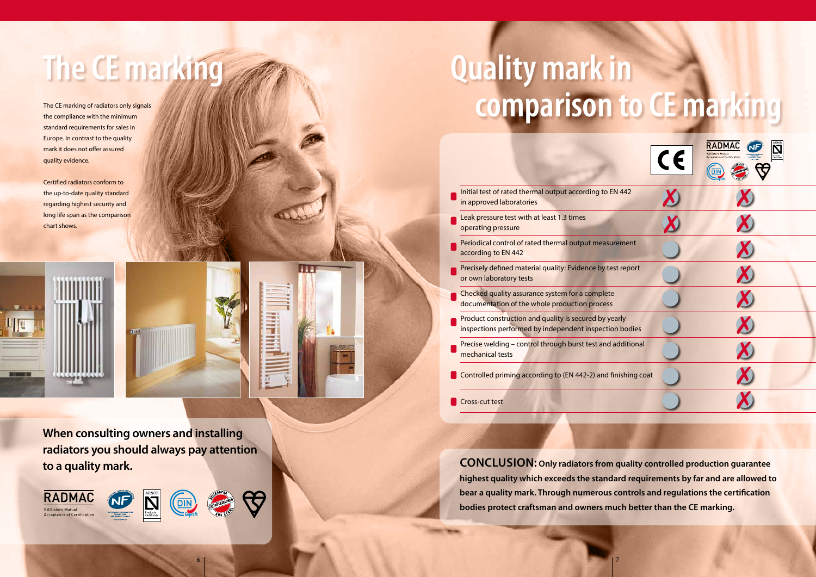Initial test of rated thermal output according to EN in approved laboratories

Leak pressure test with at least 1.3 times operating pressure

- Periodical control of rated thermal output measure according to EN 442
- Precisely defined material quality: Evidence by test or own laboratory tests
- Checked quality assurance system for a complete documentation of the whole production process
- Product construction and quality is secured by year inspections performed by independent inspectior
- Precise welding control through burst test and a mechanical tests
- Controlled priming according to (EN 442-2) and fir

**Cross-cut test** 

6 February 2014 12: A state of the control of the control of the control of the control of the control of the control of the control of the control of the control of the control of the control of the control of the control

| N                     |                           |                                                                                                                                                                                    |  |
|-----------------------|---------------------------|------------------------------------------------------------------------------------------------------------------------------------------------------------------------------------|--|
|                       |                           | to CE marking                                                                                                                                                                      |  |
|                       | $c\epsilon$               | AENOR<br>RADMAC<br>NF<br>$\bm{\mathsf{N}}$<br><b>RADiators Mutual</b><br>Producto<br>Certificado<br><b>Acceptance of Certification</b><br><b>TABRPER</b><br>4 <u>us</u><br>Geprüft |  |
| 442                   | $\frac{\lambda}{\lambda}$ |                                                                                                                                                                                    |  |
|                       |                           |                                                                                                                                                                                    |  |
| ement                 |                           |                                                                                                                                                                                    |  |
| t report              |                           |                                                                                                                                                                                    |  |
|                       |                           |                                                                                                                                                                                    |  |
| <b>orly</b><br>bodies |                           | X                                                                                                                                                                                  |  |
| dditional             |                           |                                                                                                                                                                                    |  |
| ishing coat           |                           |                                                                                                                                                                                    |  |
|                       |                           |                                                                                                                                                                                    |  |
|                       |                           |                                                                                                                                                                                    |  |

### **The CE marking**

**to a quality mark. CONCLUSION:** Only radiators from quality controlled production guarantee **highest quality which exceeds the standard requirements by far and are allowed to bear a quality mark. Through numerous controls and regulations the certification bodies protect craftsman and owners much better than the CE marking.**

The CE marking of radiators only signals the compliance with the minimum standard requirements for sales in Europe. In contrast to the quality mark it does not offer assured quality evidence.

Certified radiators conform to the up-to-date quality standard regarding highest security and long life span as the comparison chart shows.





114

**When consulting owners and installing radiators you should always pay attention** 



## **Quality mark comparison**